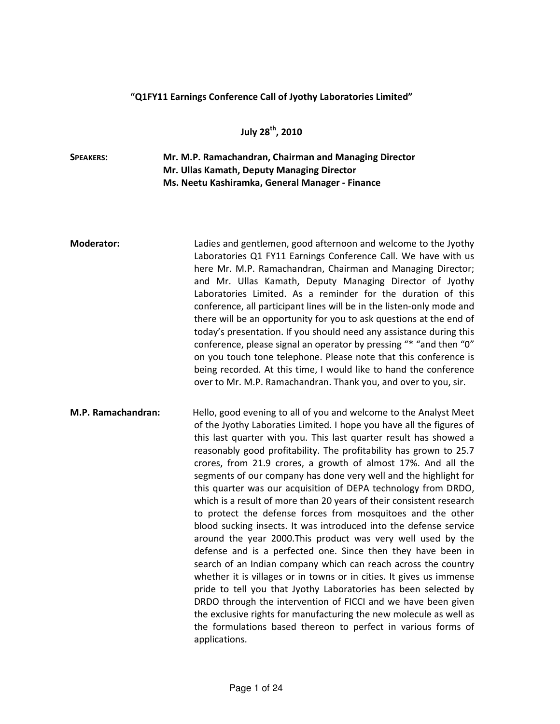## "Q1FY11 Earnings Conference Call of Jyothy Laboratories Limited"

July 28<sup>th</sup>, 2010

## SPEAKERS: Mr. M.P. Ramachandran, Chairman and Managing Director Mr. Ullas Kamath, Deputy Managing Director Ms. Neetu Kashiramka, General Manager - Finance

Moderator: Ladies and gentlemen, good afternoon and welcome to the Jyothy Laboratories Q1 FY11 Earnings Conference Call. We have with us here Mr. M.P. Ramachandran, Chairman and Managing Director; and Mr. Ullas Kamath, Deputy Managing Director of Jyothy Laboratories Limited. As a reminder for the duration of this conference, all participant lines will be in the listen-only mode and there will be an opportunity for you to ask questions at the end of today's presentation. If you should need any assistance during this conference, please signal an operator by pressing "\* "and then "0" on you touch tone telephone. Please note that this conference is being recorded. At this time, I would like to hand the conference over to Mr. M.P. Ramachandran. Thank you, and over to you, sir.

M.P. Ramachandran: Hello, good evening to all of you and welcome to the Analyst Meet of the Jyothy Laboraties Limited. I hope you have all the figures of this last quarter with you. This last quarter result has showed a reasonably good profitability. The profitability has grown to 25.7 crores, from 21.9 crores, a growth of almost 17%. And all the segments of our company has done very well and the highlight for this quarter was our acquisition of DEPA technology from DRDO, which is a result of more than 20 years of their consistent research to protect the defense forces from mosquitoes and the other blood sucking insects. It was introduced into the defense service around the year 2000.This product was very well used by the defense and is a perfected one. Since then they have been in search of an Indian company which can reach across the country whether it is villages or in towns or in cities. It gives us immense pride to tell you that Jyothy Laboratories has been selected by DRDO through the intervention of FICCI and we have been given the exclusive rights for manufacturing the new molecule as well as the formulations based thereon to perfect in various forms of applications.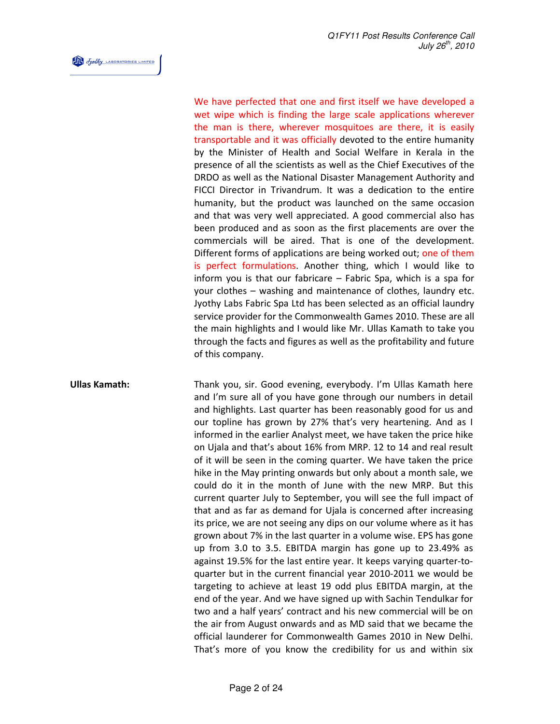Josephy LABORATORIES LIMITED

We have perfected that one and first itself we have developed a wet wipe which is finding the large scale applications wherever the man is there, wherever mosquitoes are there, it is easily transportable and it was officially devoted to the entire humanity by the Minister of Health and Social Welfare in Kerala in the presence of all the scientists as well as the Chief Executives of the DRDO as well as the National Disaster Management Authority and FICCI Director in Trivandrum. It was a dedication to the entire humanity, but the product was launched on the same occasion and that was very well appreciated. A good commercial also has been produced and as soon as the first placements are over the commercials will be aired. That is one of the development. Different forms of applications are being worked out; one of them is perfect formulations. Another thing, which I would like to inform you is that our fabricare – Fabric Spa, which is a spa for your clothes – washing and maintenance of clothes, laundry etc. Jyothy Labs Fabric Spa Ltd has been selected as an official laundry service provider for the Commonwealth Games 2010. These are all the main highlights and I would like Mr. Ullas Kamath to take you through the facts and figures as well as the profitability and future of this company.

Ullas Kamath: Thank you, sir. Good evening, everybody. I'm Ullas Kamath here and I'm sure all of you have gone through our numbers in detail and highlights. Last quarter has been reasonably good for us and our topline has grown by 27% that's very heartening. And as I informed in the earlier Analyst meet, we have taken the price hike on Ujala and that's about 16% from MRP. 12 to 14 and real result of it will be seen in the coming quarter. We have taken the price hike in the May printing onwards but only about a month sale, we could do it in the month of June with the new MRP. But this current quarter July to September, you will see the full impact of that and as far as demand for Ujala is concerned after increasing its price, we are not seeing any dips on our volume where as it has grown about 7% in the last quarter in a volume wise. EPS has gone up from 3.0 to 3.5. EBITDA margin has gone up to 23.49% as against 19.5% for the last entire year. It keeps varying quarter-toquarter but in the current financial year 2010-2011 we would be targeting to achieve at least 19 odd plus EBITDA margin, at the end of the year. And we have signed up with Sachin Tendulkar for two and a half years' contract and his new commercial will be on the air from August onwards and as MD said that we became the official launderer for Commonwealth Games 2010 in New Delhi. That's more of you know the credibility for us and within six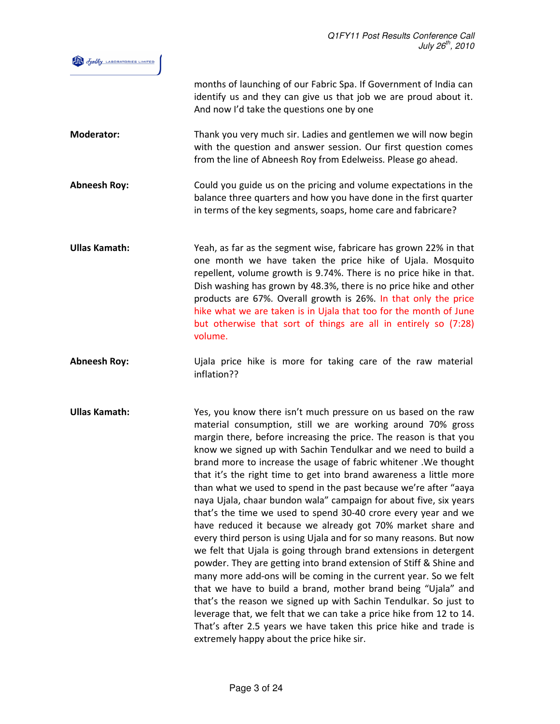

months of launching of our Fabric Spa. If Government of India can identify us and they can give us that job we are proud about it. And now I'd take the questions one by one

- Moderator: Thank you very much sir. Ladies and gentlemen we will now begin with the question and answer session. Our first question comes from the line of Abneesh Roy from Edelweiss. Please go ahead.
- Abneesh Roy: Could you guide us on the pricing and volume expectations in the balance three quarters and how you have done in the first quarter in terms of the key segments, soaps, home care and fabricare?
- Ullas Kamath: Yeah, as far as the segment wise, fabricare has grown 22% in that one month we have taken the price hike of Ujala. Mosquito repellent, volume growth is 9.74%. There is no price hike in that. Dish washing has grown by 48.3%, there is no price hike and other products are 67%. Overall growth is 26%. In that only the price hike what we are taken is in Ujala that too for the month of June but otherwise that sort of things are all in entirely so (7:28) volume.
- Abneesh Roy: Ujala price hike is more for taking care of the raw material inflation??
- Ullas Kamath: Yes, you know there isn't much pressure on us based on the raw material consumption, still we are working around 70% gross margin there, before increasing the price. The reason is that you know we signed up with Sachin Tendulkar and we need to build a brand more to increase the usage of fabric whitener .We thought that it's the right time to get into brand awareness a little more than what we used to spend in the past because we're after "aaya naya Ujala, chaar bundon wala" campaign for about five, six years that's the time we used to spend 30-40 crore every year and we have reduced it because we already got 70% market share and every third person is using Ujala and for so many reasons. But now we felt that Ujala is going through brand extensions in detergent powder. They are getting into brand extension of Stiff & Shine and many more add-ons will be coming in the current year. So we felt that we have to build a brand, mother brand being "Ujala" and that's the reason we signed up with Sachin Tendulkar. So just to leverage that, we felt that we can take a price hike from 12 to 14. That's after 2.5 years we have taken this price hike and trade is extremely happy about the price hike sir.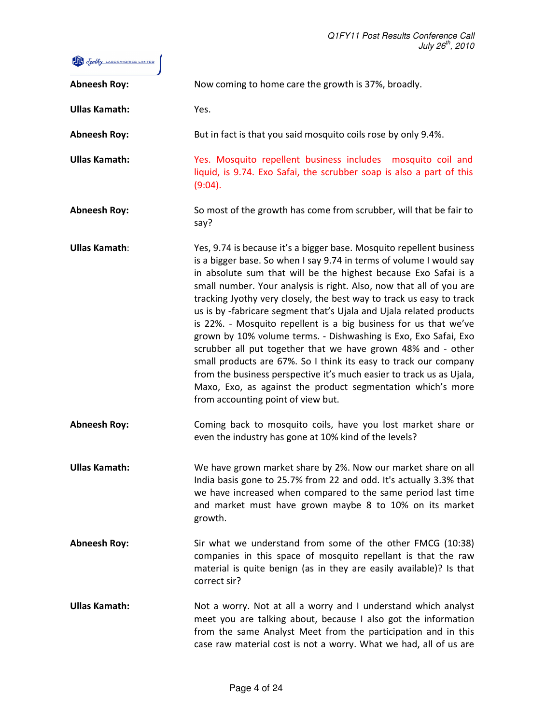

| <b>Abneesh Roy:</b>  | Now coming to home care the growth is 37%, broadly.                                                                                                                                                                                                                                                                                                                                                                                                                                                                                                                                                                                                                                                                                                                                                                                                                                          |
|----------------------|----------------------------------------------------------------------------------------------------------------------------------------------------------------------------------------------------------------------------------------------------------------------------------------------------------------------------------------------------------------------------------------------------------------------------------------------------------------------------------------------------------------------------------------------------------------------------------------------------------------------------------------------------------------------------------------------------------------------------------------------------------------------------------------------------------------------------------------------------------------------------------------------|
| <b>Ullas Kamath:</b> | Yes.                                                                                                                                                                                                                                                                                                                                                                                                                                                                                                                                                                                                                                                                                                                                                                                                                                                                                         |
| <b>Abneesh Roy:</b>  | But in fact is that you said mosquito coils rose by only 9.4%.                                                                                                                                                                                                                                                                                                                                                                                                                                                                                                                                                                                                                                                                                                                                                                                                                               |
| <b>Ullas Kamath:</b> | Yes. Mosquito repellent business includes mosquito coil and<br>liquid, is 9.74. Exo Safai, the scrubber soap is also a part of this<br>(9:04).                                                                                                                                                                                                                                                                                                                                                                                                                                                                                                                                                                                                                                                                                                                                               |
| <b>Abneesh Roy:</b>  | So most of the growth has come from scrubber, will that be fair to<br>say?                                                                                                                                                                                                                                                                                                                                                                                                                                                                                                                                                                                                                                                                                                                                                                                                                   |
| <b>Ullas Kamath:</b> | Yes, 9.74 is because it's a bigger base. Mosquito repellent business<br>is a bigger base. So when I say 9.74 in terms of volume I would say<br>in absolute sum that will be the highest because Exo Safai is a<br>small number. Your analysis is right. Also, now that all of you are<br>tracking Jyothy very closely, the best way to track us easy to track<br>us is by -fabricare segment that's Ujala and Ujala related products<br>is 22%. - Mosquito repellent is a big business for us that we've<br>grown by 10% volume terms. - Dishwashing is Exo, Exo Safai, Exo<br>scrubber all put together that we have grown 48% and - other<br>small products are 67%. So I think its easy to track our company<br>from the business perspective it's much easier to track us as Ujala,<br>Maxo, Exo, as against the product segmentation which's more<br>from accounting point of view but. |
| <b>Abneesh Roy:</b>  | Coming back to mosquito coils, have you lost market share or<br>even the industry has gone at 10% kind of the levels?                                                                                                                                                                                                                                                                                                                                                                                                                                                                                                                                                                                                                                                                                                                                                                        |
| <b>Ullas Kamath:</b> | We have grown market share by 2%. Now our market share on all<br>India basis gone to 25.7% from 22 and odd. It's actually 3.3% that<br>we have increased when compared to the same period last time<br>and market must have grown maybe 8 to 10% on its market<br>growth.                                                                                                                                                                                                                                                                                                                                                                                                                                                                                                                                                                                                                    |
| <b>Abneesh Roy:</b>  | Sir what we understand from some of the other FMCG (10:38)<br>companies in this space of mosquito repellant is that the raw<br>material is quite benign (as in they are easily available)? Is that<br>correct sir?                                                                                                                                                                                                                                                                                                                                                                                                                                                                                                                                                                                                                                                                           |
| <b>Ullas Kamath:</b> | Not a worry. Not at all a worry and I understand which analyst<br>meet you are talking about, because I also got the information<br>from the same Analyst Meet from the participation and in this<br>case raw material cost is not a worry. What we had, all of us are                                                                                                                                                                                                                                                                                                                                                                                                                                                                                                                                                                                                                       |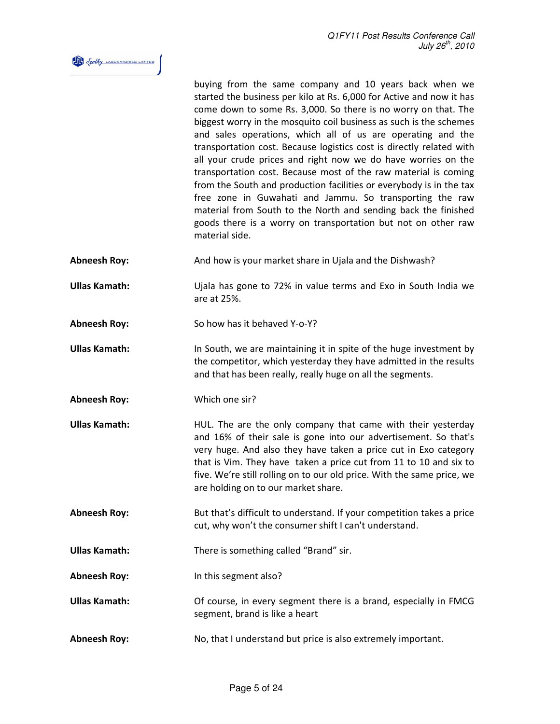

buying from the same company and 10 years back when we started the business per kilo at Rs. 6,000 for Active and now it has come down to some Rs. 3,000. So there is no worry on that. The biggest worry in the mosquito coil business as such is the schemes and sales operations, which all of us are operating and the transportation cost. Because logistics cost is directly related with all your crude prices and right now we do have worries on the transportation cost. Because most of the raw material is coming from the South and production facilities or everybody is in the tax free zone in Guwahati and Jammu. So transporting the raw material from South to the North and sending back the finished goods there is a worry on transportation but not on other raw material side.

Abneesh Roy: And how is your market share in Ujala and the Dishwash?

Ullas Kamath: Ujala has gone to 72% in value terms and Exo in South India we are at 25%.

Abneesh Roy: So how has it behaved Y-o-Y?

- Ullas Kamath: In South, we are maintaining it in spite of the huge investment by the competitor, which yesterday they have admitted in the results and that has been really, really huge on all the segments.
- Abneesh Roy: Which one sir?
- Ullas Kamath: **HUL.** The are the only company that came with their yesterday and 16% of their sale is gone into our advertisement. So that's very huge. And also they have taken a price cut in Exo category that is Vim. They have taken a price cut from 11 to 10 and six to five. We're still rolling on to our old price. With the same price, we are holding on to our market share.
- Abneesh Roy: But that's difficult to understand. If your competition takes a price cut, why won't the consumer shift I can't understand.

Ullas Kamath: There is something called "Brand" sir.

Abneesh Roy: In this segment also?

- Ullas Kamath: Of course, in every segment there is a brand, especially in FMCG segment, brand is like a heart
- Abneesh Roy: No, that I understand but price is also extremely important.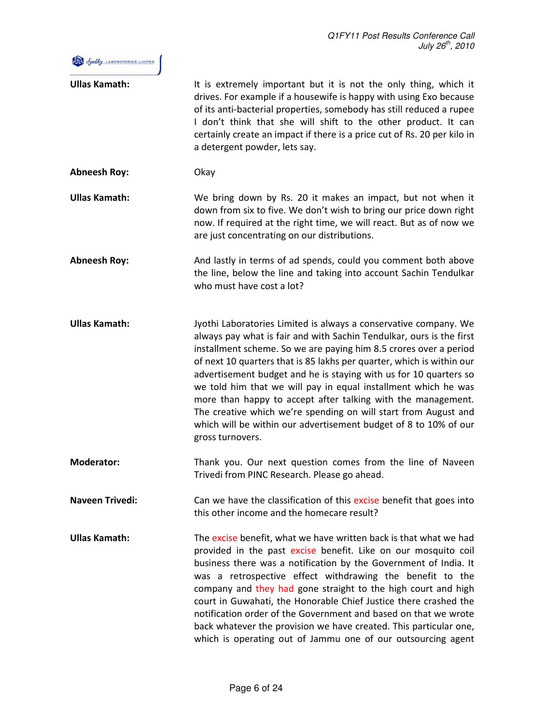

| <b>Ullas Kamath:</b>   | It is extremely important but it is not the only thing, which it<br>drives. For example if a housewife is happy with using Exo because<br>of its anti-bacterial properties, somebody has still reduced a rupee<br>I don't think that she will shift to the other product. It can<br>certainly create an impact if there is a price cut of Rs. 20 per kilo in<br>a detergent powder, lets say.                                                                                                                                                                                                                                                            |
|------------------------|----------------------------------------------------------------------------------------------------------------------------------------------------------------------------------------------------------------------------------------------------------------------------------------------------------------------------------------------------------------------------------------------------------------------------------------------------------------------------------------------------------------------------------------------------------------------------------------------------------------------------------------------------------|
| <b>Abneesh Roy:</b>    | Okay                                                                                                                                                                                                                                                                                                                                                                                                                                                                                                                                                                                                                                                     |
| <b>Ullas Kamath:</b>   | We bring down by Rs. 20 it makes an impact, but not when it<br>down from six to five. We don't wish to bring our price down right<br>now. If required at the right time, we will react. But as of now we<br>are just concentrating on our distributions.                                                                                                                                                                                                                                                                                                                                                                                                 |
| <b>Abneesh Roy:</b>    | And lastly in terms of ad spends, could you comment both above<br>the line, below the line and taking into account Sachin Tendulkar<br>who must have cost a lot?                                                                                                                                                                                                                                                                                                                                                                                                                                                                                         |
| <b>Ullas Kamath:</b>   | Jyothi Laboratories Limited is always a conservative company. We<br>always pay what is fair and with Sachin Tendulkar, ours is the first<br>installment scheme. So we are paying him 8.5 crores over a period<br>of next 10 quarters that is 85 lakhs per quarter, which is within our<br>advertisement budget and he is staying with us for 10 quarters so<br>we told him that we will pay in equal installment which he was<br>more than happy to accept after talking with the management.<br>The creative which we're spending on will start from August and<br>which will be within our advertisement budget of 8 to 10% of our<br>gross turnovers. |
| <b>Moderator:</b>      | Thank you. Our next question comes from the line of Naveen<br>Trivedi from PINC Research. Please go ahead.                                                                                                                                                                                                                                                                                                                                                                                                                                                                                                                                               |
| <b>Naveen Trivedi:</b> | Can we have the classification of this excise benefit that goes into<br>this other income and the homecare result?                                                                                                                                                                                                                                                                                                                                                                                                                                                                                                                                       |
| <b>Ullas Kamath:</b>   | The excise benefit, what we have written back is that what we had<br>provided in the past excise benefit. Like on our mosquito coil<br>business there was a notification by the Government of India. It<br>was a retrospective effect withdrawing the benefit to the<br>company and they had gone straight to the high court and high<br>court in Guwahati, the Honorable Chief Justice there crashed the<br>notification order of the Government and based on that we wrote<br>back whatever the provision we have created. This particular one,<br>which is operating out of Jammu one of our outsourcing agent                                        |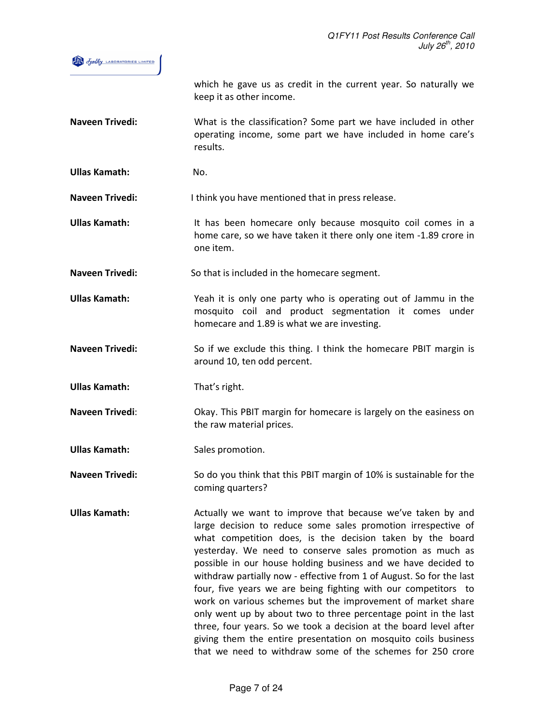

which he gave us as credit in the current year. So naturally we keep it as other income.

Naveen Trivedi: What is the classification? Some part we have included in other operating income, some part we have included in home care's results.

Ullas Kamath: No.

Naveen Trivedi: I think you have mentioned that in press release.

- Ullas Kamath: It has been homecare only because mosquito coil comes in a home care, so we have taken it there only one item -1.89 crore in one item.
- Naveen Trivedi: So that is included in the homecare segment.

Ullas Kamath: Yeah it is only one party who is operating out of Jammu in the mosquito coil and product segmentation it comes under homecare and 1.89 is what we are investing.

Naveen Trivedi: So if we exclude this thing. I think the homecare PBIT margin is around 10, ten odd percent.

Ullas Kamath: That's right.

Naveen Trivedi: Okay. This PBIT margin for homecare is largely on the easiness on the raw material prices.

Ullas Kamath: Sales promotion.

Naveen Trivedi: So do you think that this PBIT margin of 10% is sustainable for the coming quarters?

Ullas Kamath: Actually we want to improve that because we've taken by and large decision to reduce some sales promotion irrespective of what competition does, is the decision taken by the board yesterday. We need to conserve sales promotion as much as possible in our house holding business and we have decided to withdraw partially now - effective from 1 of August. So for the last four, five years we are being fighting with our competitors to work on various schemes but the improvement of market share only went up by about two to three percentage point in the last three, four years. So we took a decision at the board level after giving them the entire presentation on mosquito coils business that we need to withdraw some of the schemes for 250 crore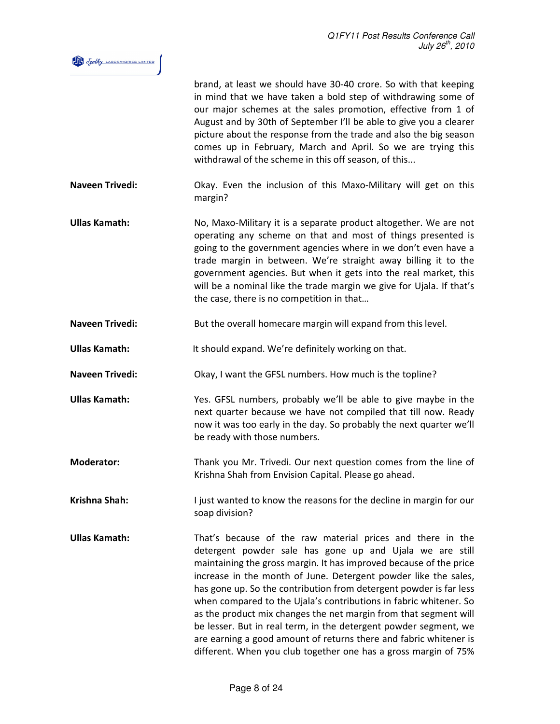| Jothy LABORATORIES LIMITED |  |
|----------------------------|--|
|                            |  |

|                        | brand, at least we should have 30-40 crore. So with that keeping<br>in mind that we have taken a bold step of withdrawing some of<br>our major schemes at the sales promotion, effective from 1 of<br>August and by 30th of September I'll be able to give you a clearer<br>picture about the response from the trade and also the big season<br>comes up in February, March and April. So we are trying this<br>withdrawal of the scheme in this off season, of this                                                                                                                                                                                                                      |
|------------------------|--------------------------------------------------------------------------------------------------------------------------------------------------------------------------------------------------------------------------------------------------------------------------------------------------------------------------------------------------------------------------------------------------------------------------------------------------------------------------------------------------------------------------------------------------------------------------------------------------------------------------------------------------------------------------------------------|
| <b>Naveen Trivedi:</b> | Okay. Even the inclusion of this Maxo-Military will get on this<br>margin?                                                                                                                                                                                                                                                                                                                                                                                                                                                                                                                                                                                                                 |
| <b>Ullas Kamath:</b>   | No, Maxo-Military it is a separate product altogether. We are not<br>operating any scheme on that and most of things presented is<br>going to the government agencies where in we don't even have a<br>trade margin in between. We're straight away billing it to the<br>government agencies. But when it gets into the real market, this<br>will be a nominal like the trade margin we give for Ujala. If that's<br>the case, there is no competition in that                                                                                                                                                                                                                             |
| <b>Naveen Trivedi:</b> | But the overall homecare margin will expand from this level.                                                                                                                                                                                                                                                                                                                                                                                                                                                                                                                                                                                                                               |
| <b>Ullas Kamath:</b>   | It should expand. We're definitely working on that.                                                                                                                                                                                                                                                                                                                                                                                                                                                                                                                                                                                                                                        |
| <b>Naveen Trivedi:</b> | Okay, I want the GFSL numbers. How much is the topline?                                                                                                                                                                                                                                                                                                                                                                                                                                                                                                                                                                                                                                    |
| <b>Ullas Kamath:</b>   | Yes. GFSL numbers, probably we'll be able to give maybe in the<br>next quarter because we have not compiled that till now. Ready<br>now it was too early in the day. So probably the next quarter we'll<br>be ready with those numbers.                                                                                                                                                                                                                                                                                                                                                                                                                                                    |
| <b>Moderator:</b>      | Thank you Mr. Trivedi. Our next question comes from the line of<br>Krishna Shah from Envision Capital. Please go ahead.                                                                                                                                                                                                                                                                                                                                                                                                                                                                                                                                                                    |
| <b>Krishna Shah:</b>   | I just wanted to know the reasons for the decline in margin for our<br>soap division?                                                                                                                                                                                                                                                                                                                                                                                                                                                                                                                                                                                                      |
| <b>Ullas Kamath:</b>   | That's because of the raw material prices and there in the<br>detergent powder sale has gone up and Ujala we are still<br>maintaining the gross margin. It has improved because of the price<br>increase in the month of June. Detergent powder like the sales,<br>has gone up. So the contribution from detergent powder is far less<br>when compared to the Ujala's contributions in fabric whitener. So<br>as the product mix changes the net margin from that segment will<br>be lesser. But in real term, in the detergent powder segment, we<br>are earning a good amount of returns there and fabric whitener is<br>different. When you club together one has a gross margin of 75% |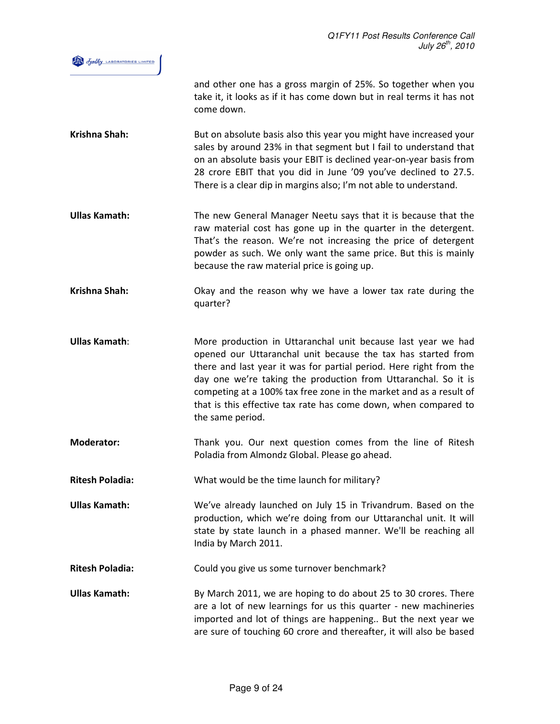

and other one has a gross margin of 25%. So together when you take it, it looks as if it has come down but in real terms it has not come down.

- Krishna Shah: But on absolute basis also this year you might have increased your sales by around 23% in that segment but I fail to understand that on an absolute basis your EBIT is declined year-on-year basis from 28 crore EBIT that you did in June '09 you've declined to 27.5. There is a clear dip in margins also; I'm not able to understand.
- Ullas Kamath: The new General Manager Neetu says that it is because that the raw material cost has gone up in the quarter in the detergent. That's the reason. We're not increasing the price of detergent powder as such. We only want the same price. But this is mainly because the raw material price is going up.

Krishna Shah: Okay and the reason why we have a lower tax rate during the quarter?

- Ullas Kamath: More production in Uttaranchal unit because last year we had opened our Uttaranchal unit because the tax has started from there and last year it was for partial period. Here right from the day one we're taking the production from Uttaranchal. So it is competing at a 100% tax free zone in the market and as a result of that is this effective tax rate has come down, when compared to the same period.
- Moderator: Thank you. Our next question comes from the line of Ritesh Poladia from Almondz Global. Please go ahead.

Ritesh Poladia: What would be the time launch for military?

- Ullas Kamath: We've already launched on July 15 in Trivandrum. Based on the production, which we're doing from our Uttaranchal unit. It will state by state launch in a phased manner. We'll be reaching all India by March 2011.
- Ritesh Poladia: Could you give us some turnover benchmark?
- Ullas Kamath: By March 2011, we are hoping to do about 25 to 30 crores. There are a lot of new learnings for us this quarter - new machineries imported and lot of things are happening.. But the next year we are sure of touching 60 crore and thereafter, it will also be based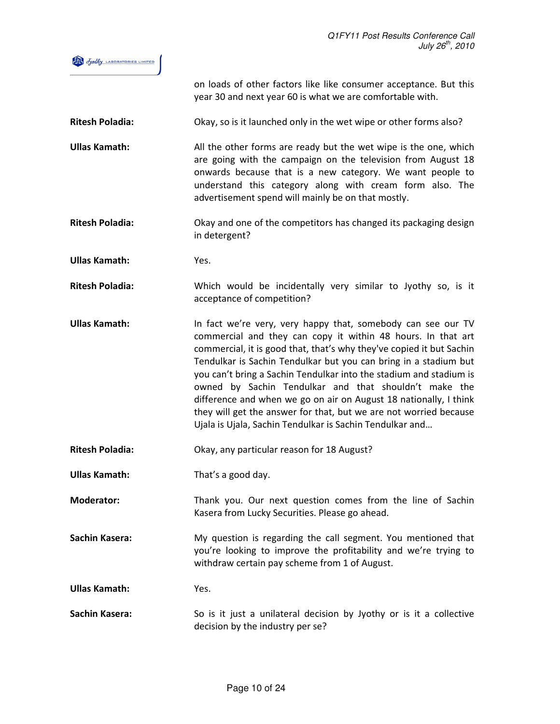

on loads of other factors like like consumer acceptance. But this year 30 and next year 60 is what we are comfortable with.

Ritesh Poladia: Okay, so is it launched only in the wet wipe or other forms also?

- Ullas Kamath: All the other forms are ready but the wet wipe is the one, which are going with the campaign on the television from August 18 onwards because that is a new category. We want people to understand this category along with cream form also. The advertisement spend will mainly be on that mostly.
- Ritesh Poladia: Okay and one of the competitors has changed its packaging design in detergent?

Ullas Kamath: Yes.

Ritesh Poladia: Which would be incidentally very similar to Jyothy so, is it acceptance of competition?

Ullas Kamath: In fact we're very, very happy that, somebody can see our TV commercial and they can copy it within 48 hours. In that art commercial, it is good that, that's why they've copied it but Sachin Tendulkar is Sachin Tendulkar but you can bring in a stadium but you can't bring a Sachin Tendulkar into the stadium and stadium is owned by Sachin Tendulkar and that shouldn't make the difference and when we go on air on August 18 nationally, I think they will get the answer for that, but we are not worried because Ujala is Ujala, Sachin Tendulkar is Sachin Tendulkar and…

Ritesh Poladia: Okay, any particular reason for 18 August?

Ullas Kamath: That's a good day.

Moderator: Thank you. Our next question comes from the line of Sachin Kasera from Lucky Securities. Please go ahead.

Sachin Kasera: My question is regarding the call segment. You mentioned that you're looking to improve the profitability and we're trying to withdraw certain pay scheme from 1 of August.

Ullas Kamath: Yes.

Sachin Kasera: So is it just a unilateral decision by Jyothy or is it a collective decision by the industry per se?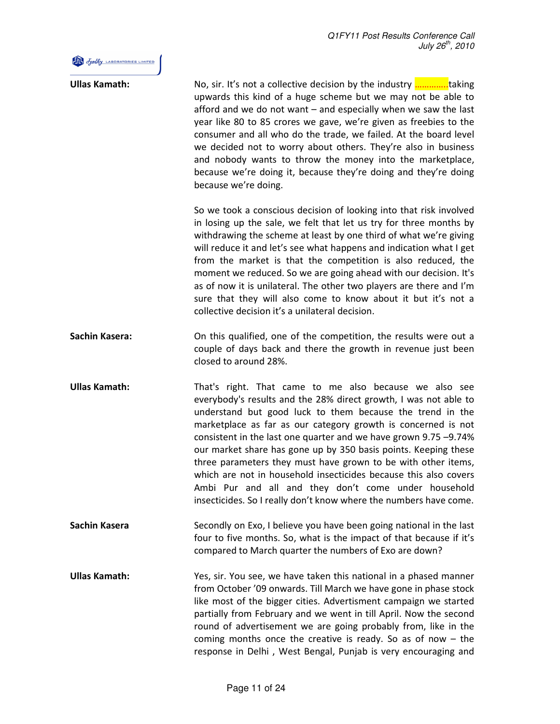

| <b>Ullas Kamath:</b>  | No, sir. It's not a collective decision by the industry <b></b> taking<br>upwards this kind of a huge scheme but we may not be able to<br>afford and we do not want – and especially when we saw the last<br>year like 80 to 85 crores we gave, we're given as freebies to the<br>consumer and all who do the trade, we failed. At the board level<br>we decided not to worry about others. They're also in business<br>and nobody wants to throw the money into the marketplace,<br>because we're doing it, because they're doing and they're doing<br>because we're doing.                                                                                      |
|-----------------------|-------------------------------------------------------------------------------------------------------------------------------------------------------------------------------------------------------------------------------------------------------------------------------------------------------------------------------------------------------------------------------------------------------------------------------------------------------------------------------------------------------------------------------------------------------------------------------------------------------------------------------------------------------------------|
|                       | So we took a conscious decision of looking into that risk involved<br>in losing up the sale, we felt that let us try for three months by<br>withdrawing the scheme at least by one third of what we're giving<br>will reduce it and let's see what happens and indication what I get<br>from the market is that the competition is also reduced, the<br>moment we reduced. So we are going ahead with our decision. It's<br>as of now it is unilateral. The other two players are there and I'm<br>sure that they will also come to know about it but it's not a<br>collective decision it's a unilateral decision.                                               |
| <b>Sachin Kasera:</b> | On this qualified, one of the competition, the results were out a<br>couple of days back and there the growth in revenue just been<br>closed to around 28%.                                                                                                                                                                                                                                                                                                                                                                                                                                                                                                       |
| <b>Ullas Kamath:</b>  | That's right. That came to me also because we also see<br>everybody's results and the 28% direct growth, I was not able to<br>understand but good luck to them because the trend in the<br>marketplace as far as our category growth is concerned is not<br>consistent in the last one quarter and we have grown 9.75 -9.74%<br>our market share has gone up by 350 basis points. Keeping these<br>three parameters they must have grown to be with other items,<br>which are not in household insecticides because this also covers<br>Ambi Pur and all and they don't come under household<br>insecticides. So I really don't know where the numbers have come. |
| Sachin Kasera         | Secondly on Exo, I believe you have been going national in the last<br>four to five months. So, what is the impact of that because if it's<br>compared to March quarter the numbers of Exo are down?                                                                                                                                                                                                                                                                                                                                                                                                                                                              |
| <b>Ullas Kamath:</b>  | Yes, sir. You see, we have taken this national in a phased manner<br>from October '09 onwards. Till March we have gone in phase stock<br>like most of the bigger cities. Advertisment campaign we started<br>partially from February and we went in till April. Now the second<br>round of advertisement we are going probably from, like in the<br>coming months once the creative is ready. So as of now $-$ the<br>response in Delhi, West Bengal, Punjab is very encouraging and                                                                                                                                                                              |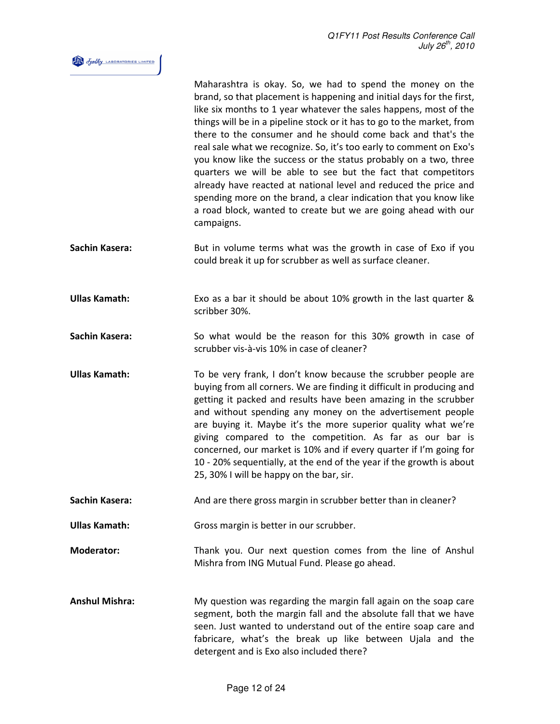

|                       | Maharashtra is okay. So, we had to spend the money on the<br>brand, so that placement is happening and initial days for the first,<br>like six months to 1 year whatever the sales happens, most of the<br>things will be in a pipeline stock or it has to go to the market, from<br>there to the consumer and he should come back and that's the<br>real sale what we recognize. So, it's too early to comment on Exo's<br>you know like the success or the status probably on a two, three<br>quarters we will be able to see but the fact that competitors<br>already have reacted at national level and reduced the price and<br>spending more on the brand, a clear indication that you know like<br>a road block, wanted to create but we are going ahead with our<br>campaigns. |
|-----------------------|----------------------------------------------------------------------------------------------------------------------------------------------------------------------------------------------------------------------------------------------------------------------------------------------------------------------------------------------------------------------------------------------------------------------------------------------------------------------------------------------------------------------------------------------------------------------------------------------------------------------------------------------------------------------------------------------------------------------------------------------------------------------------------------|
| Sachin Kasera:        | But in volume terms what was the growth in case of Exo if you<br>could break it up for scrubber as well as surface cleaner.                                                                                                                                                                                                                                                                                                                                                                                                                                                                                                                                                                                                                                                            |
| <b>Ullas Kamath:</b>  | Exo as a bar it should be about 10% growth in the last quarter &<br>scribber 30%.                                                                                                                                                                                                                                                                                                                                                                                                                                                                                                                                                                                                                                                                                                      |
| Sachin Kasera:        | So what would be the reason for this 30% growth in case of<br>scrubber vis-à-vis 10% in case of cleaner?                                                                                                                                                                                                                                                                                                                                                                                                                                                                                                                                                                                                                                                                               |
| <b>Ullas Kamath:</b>  | To be very frank, I don't know because the scrubber people are<br>buying from all corners. We are finding it difficult in producing and<br>getting it packed and results have been amazing in the scrubber<br>and without spending any money on the advertisement people<br>are buying it. Maybe it's the more superior quality what we're<br>giving compared to the competition. As far as our bar is<br>concerned, our market is 10% and if every quarter if I'm going for<br>10 - 20% sequentially, at the end of the year if the growth is about<br>25, 30% I will be happy on the bar, sir.                                                                                                                                                                                       |
| <b>Sachin Kasera:</b> | And are there gross margin in scrubber better than in cleaner?                                                                                                                                                                                                                                                                                                                                                                                                                                                                                                                                                                                                                                                                                                                         |
| <b>Ullas Kamath:</b>  | Gross margin is better in our scrubber.                                                                                                                                                                                                                                                                                                                                                                                                                                                                                                                                                                                                                                                                                                                                                |
| <b>Moderator:</b>     | Thank you. Our next question comes from the line of Anshul<br>Mishra from ING Mutual Fund. Please go ahead.                                                                                                                                                                                                                                                                                                                                                                                                                                                                                                                                                                                                                                                                            |
| <b>Anshul Mishra:</b> | My question was regarding the margin fall again on the soap care<br>segment, both the margin fall and the absolute fall that we have<br>seen. Just wanted to understand out of the entire soap care and<br>fabricare, what's the break up like between Ujala and the<br>detergent and is Exo also included there?                                                                                                                                                                                                                                                                                                                                                                                                                                                                      |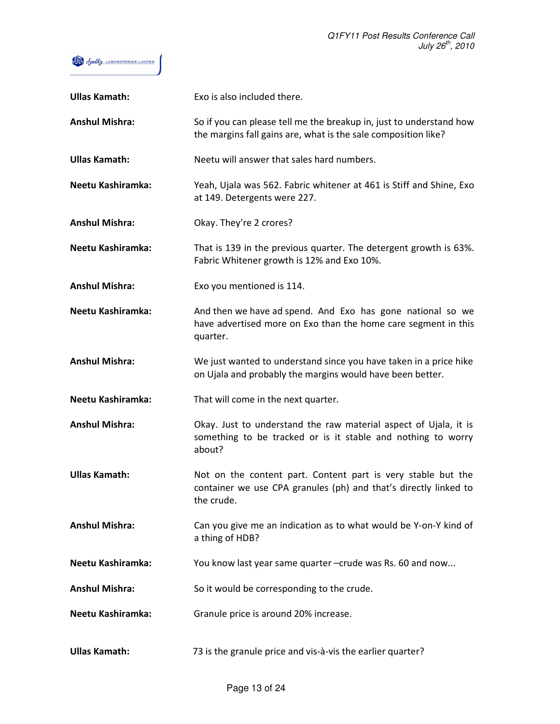

| <b>Ullas Kamath:</b>  | Exo is also included there.                                                                                                                    |
|-----------------------|------------------------------------------------------------------------------------------------------------------------------------------------|
| <b>Anshul Mishra:</b> | So if you can please tell me the breakup in, just to understand how<br>the margins fall gains are, what is the sale composition like?          |
| <b>Ullas Kamath:</b>  | Neetu will answer that sales hard numbers.                                                                                                     |
| Neetu Kashiramka:     | Yeah, Ujala was 562. Fabric whitener at 461 is Stiff and Shine, Exo<br>at 149. Detergents were 227.                                            |
| <b>Anshul Mishra:</b> | Okay. They're 2 crores?                                                                                                                        |
| Neetu Kashiramka:     | That is 139 in the previous quarter. The detergent growth is 63%.<br>Fabric Whitener growth is 12% and Exo 10%.                                |
| <b>Anshul Mishra:</b> | Exo you mentioned is 114.                                                                                                                      |
| Neetu Kashiramka:     | And then we have ad spend. And Exo has gone national so we<br>have advertised more on Exo than the home care segment in this<br>quarter.       |
| <b>Anshul Mishra:</b> | We just wanted to understand since you have taken in a price hike<br>on Ujala and probably the margins would have been better.                 |
| Neetu Kashiramka:     | That will come in the next quarter.                                                                                                            |
| <b>Anshul Mishra:</b> | Okay. Just to understand the raw material aspect of Ujala, it is<br>something to be tracked or is it stable and nothing to worry<br>about?     |
| <b>Ullas Kamath:</b>  | Not on the content part. Content part is very stable but the<br>container we use CPA granules (ph) and that's directly linked to<br>the crude. |
| <b>Anshul Mishra:</b> | Can you give me an indication as to what would be Y-on-Y kind of<br>a thing of HDB?                                                            |
| Neetu Kashiramka:     | You know last year same quarter -crude was Rs. 60 and now                                                                                      |
| <b>Anshul Mishra:</b> | So it would be corresponding to the crude.                                                                                                     |
| Neetu Kashiramka:     | Granule price is around 20% increase.                                                                                                          |
| <b>Ullas Kamath:</b>  | 73 is the granule price and vis-à-vis the earlier quarter?                                                                                     |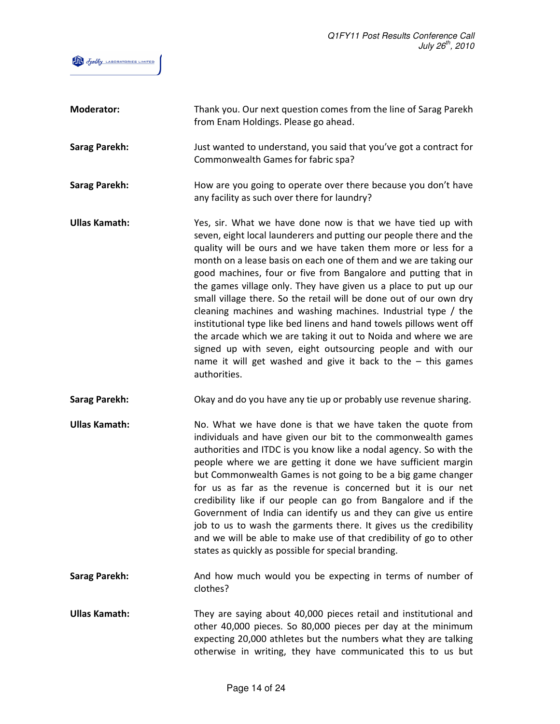

| <b>Moderator:</b>    | Thank you. Our next question comes from the line of Sarag Parekh<br>from Enam Holdings. Please go ahead.                                                                                                                                                                                                                                                                                                                                                                                                                                                                                                                                                                                                                                                                                                                                         |
|----------------------|--------------------------------------------------------------------------------------------------------------------------------------------------------------------------------------------------------------------------------------------------------------------------------------------------------------------------------------------------------------------------------------------------------------------------------------------------------------------------------------------------------------------------------------------------------------------------------------------------------------------------------------------------------------------------------------------------------------------------------------------------------------------------------------------------------------------------------------------------|
| <b>Sarag Parekh:</b> | Just wanted to understand, you said that you've got a contract for<br>Commonwealth Games for fabric spa?                                                                                                                                                                                                                                                                                                                                                                                                                                                                                                                                                                                                                                                                                                                                         |
| <b>Sarag Parekh:</b> | How are you going to operate over there because you don't have<br>any facility as such over there for laundry?                                                                                                                                                                                                                                                                                                                                                                                                                                                                                                                                                                                                                                                                                                                                   |
| <b>Ullas Kamath:</b> | Yes, sir. What we have done now is that we have tied up with<br>seven, eight local launderers and putting our people there and the<br>quality will be ours and we have taken them more or less for a<br>month on a lease basis on each one of them and we are taking our<br>good machines, four or five from Bangalore and putting that in<br>the games village only. They have given us a place to put up our<br>small village there. So the retail will be done out of our own dry<br>cleaning machines and washing machines. Industrial type / the<br>institutional type like bed linens and hand towels pillows went off<br>the arcade which we are taking it out to Noida and where we are<br>signed up with seven, eight outsourcing people and with our<br>name it will get washed and give it back to the $-$ this games<br>authorities. |
|                      |                                                                                                                                                                                                                                                                                                                                                                                                                                                                                                                                                                                                                                                                                                                                                                                                                                                  |
| <b>Sarag Parekh:</b> | Okay and do you have any tie up or probably use revenue sharing.                                                                                                                                                                                                                                                                                                                                                                                                                                                                                                                                                                                                                                                                                                                                                                                 |
| <b>Ullas Kamath:</b> | No. What we have done is that we have taken the quote from<br>individuals and have given our bit to the commonwealth games<br>authorities and ITDC is you know like a nodal agency. So with the<br>people where we are getting it done we have sufficient margin<br>but Commonwealth Games is not going to be a big game changer<br>for us as far as the revenue is concerned but it is our net<br>credibility like if our people can go from Bangalore and if the<br>Government of India can identify us and they can give us entire<br>job to us to wash the garments there. It gives us the credibility<br>and we will be able to make use of that credibility of go to other<br>states as quickly as possible for special branding.                                                                                                          |
| <b>Sarag Parekh:</b> | And how much would you be expecting in terms of number of<br>clothes?                                                                                                                                                                                                                                                                                                                                                                                                                                                                                                                                                                                                                                                                                                                                                                            |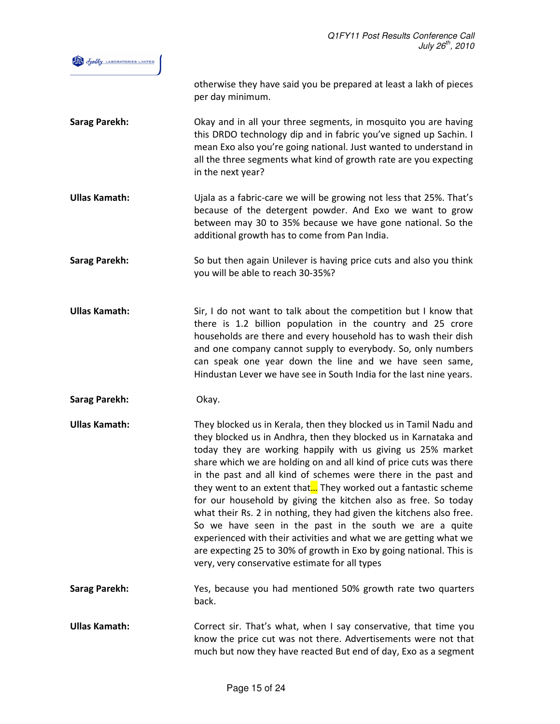

otherwise they have said you be prepared at least a lakh of pieces per day minimum.

- Sarag Parekh: Okay and in all your three segments, in mosquito you are having this DRDO technology dip and in fabric you've signed up Sachin. I mean Exo also you're going national. Just wanted to understand in all the three segments what kind of growth rate are you expecting in the next year?
- Ullas Kamath: Ujala as a fabric-care we will be growing not less that 25%. That's because of the detergent powder. And Exo we want to grow between may 30 to 35% because we have gone national. So the additional growth has to come from Pan India.
- Sarag Parekh: So but then again Unilever is having price cuts and also you think you will be able to reach 30-35%?
- Ullas Kamath: Sir, I do not want to talk about the competition but I know that there is 1.2 billion population in the country and 25 crore households are there and every household has to wash their dish and one company cannot supply to everybody. So, only numbers can speak one year down the line and we have seen same, Hindustan Lever we have see in South India for the last nine years.
- Sarag Parekh: Okay.
- Ullas Kamath: They blocked us in Kerala, then they blocked us in Tamil Nadu and they blocked us in Andhra, then they blocked us in Karnataka and today they are working happily with us giving us 25% market share which we are holding on and all kind of price cuts was there in the past and all kind of schemes were there in the past and they went to an extent that... They worked out a fantastic scheme for our household by giving the kitchen also as free. So today what their Rs. 2 in nothing, they had given the kitchens also free. So we have seen in the past in the south we are a quite experienced with their activities and what we are getting what we are expecting 25 to 30% of growth in Exo by going national. This is very, very conservative estimate for all types
- Sarag Parekh: Yes, because you had mentioned 50% growth rate two quarters back.
- Ullas Kamath: Correct sir. That's what, when I say conservative, that time you know the price cut was not there. Advertisements were not that much but now they have reacted But end of day, Exo as a segment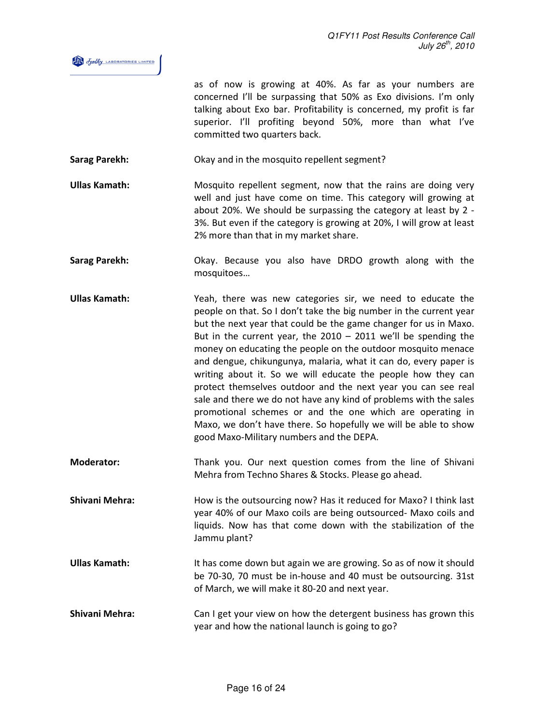

as of now is growing at 40%. As far as your numbers are concerned I'll be surpassing that 50% as Exo divisions. I'm only talking about Exo bar. Profitability is concerned, my profit is far superior. I'll profiting beyond 50%, more than what I've committed two quarters back.

Sarag Parekh: Okay and in the mosquito repellent segment?

Ullas Kamath: Mosquito repellent segment, now that the rains are doing very well and just have come on time. This category will growing at about 20%. We should be surpassing the category at least by 2 - 3%. But even if the category is growing at 20%, I will grow at least 2% more than that in my market share.

Sarag Parekh: Okay. Because you also have DRDO growth along with the mosquitoes…

Ullas Kamath: Yeah, there was new categories sir, we need to educate the people on that. So I don't take the big number in the current year but the next year that could be the game changer for us in Maxo. But in the current year, the  $2010 - 2011$  we'll be spending the money on educating the people on the outdoor mosquito menace and dengue, chikungunya, malaria, what it can do, every paper is writing about it. So we will educate the people how they can protect themselves outdoor and the next year you can see real sale and there we do not have any kind of problems with the sales promotional schemes or and the one which are operating in Maxo, we don't have there. So hopefully we will be able to show good Maxo-Military numbers and the DEPA.

Moderator: Thank you. Our next question comes from the line of Shivani Mehra from Techno Shares & Stocks. Please go ahead.

Shivani Mehra: How is the outsourcing now? Has it reduced for Maxo? I think last year 40% of our Maxo coils are being outsourced- Maxo coils and liquids. Now has that come down with the stabilization of the Jammu plant?

Ullas Kamath: It has come down but again we are growing. So as of now it should be 70-30, 70 must be in-house and 40 must be outsourcing. 31st of March, we will make it 80-20 and next year.

Shivani Mehra: Can I get your view on how the detergent business has grown this year and how the national launch is going to go?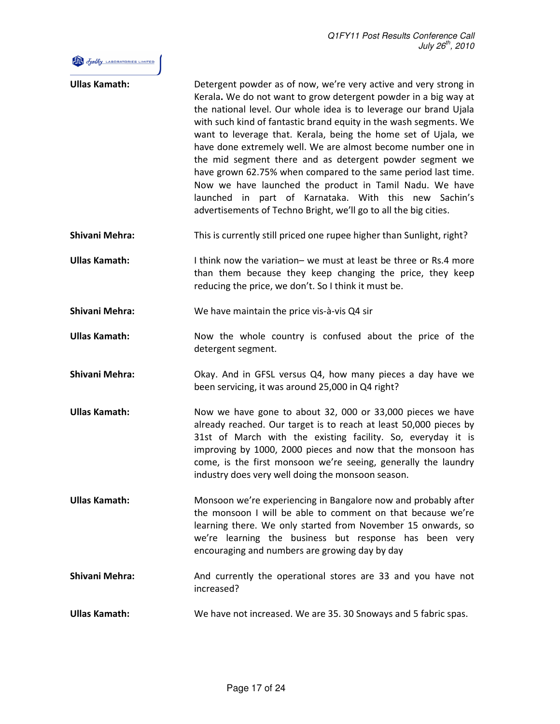## Fine of othy LABORATORIES LIMITED

| <b>Ullas Kamath:</b>  | Detergent powder as of now, we're very active and very strong in<br>Kerala. We do not want to grow detergent powder in a big way at<br>the national level. Our whole idea is to leverage our brand Ujala<br>with such kind of fantastic brand equity in the wash segments. We<br>want to leverage that. Kerala, being the home set of Ujala, we<br>have done extremely well. We are almost become number one in<br>the mid segment there and as detergent powder segment we<br>have grown 62.75% when compared to the same period last time.<br>Now we have launched the product in Tamil Nadu. We have<br>launched in part of Karnataka. With this new Sachin's<br>advertisements of Techno Bright, we'll go to all the big cities. |
|-----------------------|--------------------------------------------------------------------------------------------------------------------------------------------------------------------------------------------------------------------------------------------------------------------------------------------------------------------------------------------------------------------------------------------------------------------------------------------------------------------------------------------------------------------------------------------------------------------------------------------------------------------------------------------------------------------------------------------------------------------------------------|
| <b>Shivani Mehra:</b> | This is currently still priced one rupee higher than Sunlight, right?                                                                                                                                                                                                                                                                                                                                                                                                                                                                                                                                                                                                                                                                |
| <b>Ullas Kamath:</b>  | I think now the variation- we must at least be three or Rs.4 more<br>than them because they keep changing the price, they keep<br>reducing the price, we don't. So I think it must be.                                                                                                                                                                                                                                                                                                                                                                                                                                                                                                                                               |
| <b>Shivani Mehra:</b> | We have maintain the price vis-à-vis Q4 sir                                                                                                                                                                                                                                                                                                                                                                                                                                                                                                                                                                                                                                                                                          |
| <b>Ullas Kamath:</b>  | Now the whole country is confused about the price of the<br>detergent segment.                                                                                                                                                                                                                                                                                                                                                                                                                                                                                                                                                                                                                                                       |
| <b>Shivani Mehra:</b> | Okay. And in GFSL versus Q4, how many pieces a day have we<br>been servicing, it was around 25,000 in Q4 right?                                                                                                                                                                                                                                                                                                                                                                                                                                                                                                                                                                                                                      |
| <b>Ullas Kamath:</b>  | Now we have gone to about 32, 000 or 33,000 pieces we have<br>already reached. Our target is to reach at least 50,000 pieces by<br>31st of March with the existing facility. So, everyday it is<br>improving by 1000, 2000 pieces and now that the monsoon has<br>come, is the first monsoon we're seeing, generally the laundry<br>industry does very well doing the monsoon season.                                                                                                                                                                                                                                                                                                                                                |
| <b>Ullas Kamath:</b>  | Monsoon we're experiencing in Bangalore now and probably after<br>the monsoon I will be able to comment on that because we're<br>learning there. We only started from November 15 onwards, so<br>we're learning the business but response has been very<br>encouraging and numbers are growing day by day                                                                                                                                                                                                                                                                                                                                                                                                                            |
| <b>Shivani Mehra:</b> | And currently the operational stores are 33 and you have not<br>increased?                                                                                                                                                                                                                                                                                                                                                                                                                                                                                                                                                                                                                                                           |
| <b>Ullas Kamath:</b>  | We have not increased. We are 35.30 Snoways and 5 fabric spas.                                                                                                                                                                                                                                                                                                                                                                                                                                                                                                                                                                                                                                                                       |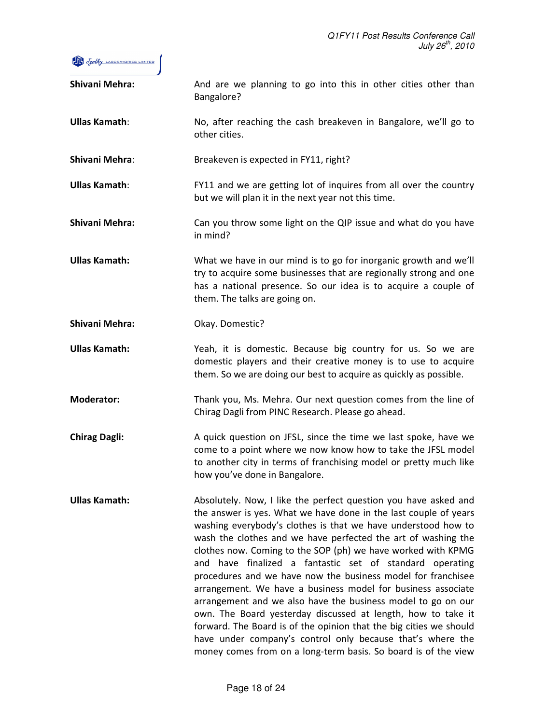

| <b>Shivani Mehra:</b> | And are we planning to go into this in other cities other than<br>Bangalore?                                                                                                                                                                                                                                                                                                                                                                                                                                                                                                                                                                                                                                                                                                                                                                                            |
|-----------------------|-------------------------------------------------------------------------------------------------------------------------------------------------------------------------------------------------------------------------------------------------------------------------------------------------------------------------------------------------------------------------------------------------------------------------------------------------------------------------------------------------------------------------------------------------------------------------------------------------------------------------------------------------------------------------------------------------------------------------------------------------------------------------------------------------------------------------------------------------------------------------|
| <b>Ullas Kamath:</b>  | No, after reaching the cash breakeven in Bangalore, we'll go to<br>other cities.                                                                                                                                                                                                                                                                                                                                                                                                                                                                                                                                                                                                                                                                                                                                                                                        |
| <b>Shivani Mehra:</b> | Breakeven is expected in FY11, right?                                                                                                                                                                                                                                                                                                                                                                                                                                                                                                                                                                                                                                                                                                                                                                                                                                   |
| <b>Ullas Kamath:</b>  | FY11 and we are getting lot of inquires from all over the country<br>but we will plan it in the next year not this time.                                                                                                                                                                                                                                                                                                                                                                                                                                                                                                                                                                                                                                                                                                                                                |
| <b>Shivani Mehra:</b> | Can you throw some light on the QIP issue and what do you have<br>in mind?                                                                                                                                                                                                                                                                                                                                                                                                                                                                                                                                                                                                                                                                                                                                                                                              |
| <b>Ullas Kamath:</b>  | What we have in our mind is to go for inorganic growth and we'll<br>try to acquire some businesses that are regionally strong and one<br>has a national presence. So our idea is to acquire a couple of<br>them. The talks are going on.                                                                                                                                                                                                                                                                                                                                                                                                                                                                                                                                                                                                                                |
| <b>Shivani Mehra:</b> | Okay. Domestic?                                                                                                                                                                                                                                                                                                                                                                                                                                                                                                                                                                                                                                                                                                                                                                                                                                                         |
| <b>Ullas Kamath:</b>  | Yeah, it is domestic. Because big country for us. So we are<br>domestic players and their creative money is to use to acquire<br>them. So we are doing our best to acquire as quickly as possible.                                                                                                                                                                                                                                                                                                                                                                                                                                                                                                                                                                                                                                                                      |
| <b>Moderator:</b>     | Thank you, Ms. Mehra. Our next question comes from the line of<br>Chirag Dagli from PINC Research. Please go ahead.                                                                                                                                                                                                                                                                                                                                                                                                                                                                                                                                                                                                                                                                                                                                                     |
| <b>Chirag Dagli:</b>  | A quick question on JFSL, since the time we last spoke, have we<br>come to a point where we now know how to take the JFSL model<br>to another city in terms of franchising model or pretty much like<br>how you've done in Bangalore.                                                                                                                                                                                                                                                                                                                                                                                                                                                                                                                                                                                                                                   |
| <b>Ullas Kamath:</b>  | Absolutely. Now, I like the perfect question you have asked and<br>the answer is yes. What we have done in the last couple of years<br>washing everybody's clothes is that we have understood how to<br>wash the clothes and we have perfected the art of washing the<br>clothes now. Coming to the SOP (ph) we have worked with KPMG<br>and have finalized a fantastic set of standard operating<br>procedures and we have now the business model for franchisee<br>arrangement. We have a business model for business associate<br>arrangement and we also have the business model to go on our<br>own. The Board yesterday discussed at length, how to take it<br>forward. The Board is of the opinion that the big cities we should<br>have under company's control only because that's where the<br>money comes from on a long-term basis. So board is of the view |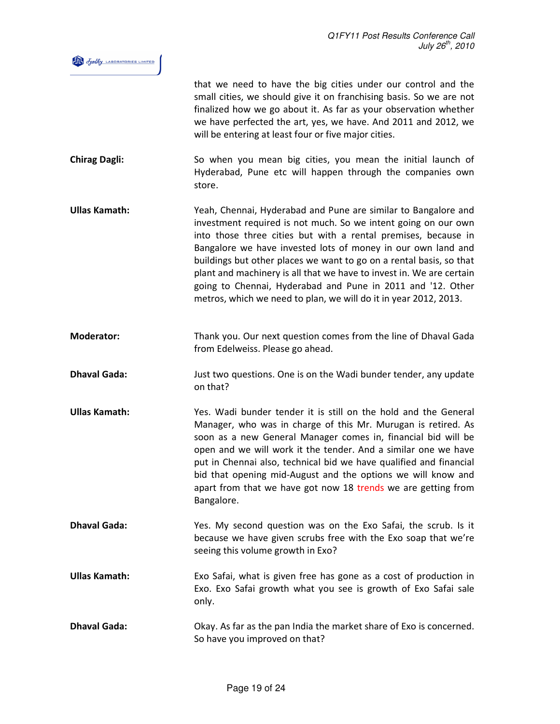

that we need to have the big cities under our control and the small cities, we should give it on franchising basis. So we are not finalized how we go about it. As far as your observation whether we have perfected the art, yes, we have. And 2011 and 2012, we will be entering at least four or five major cities.

- Chirag Dagli: So when you mean big cities, you mean the initial launch of Hyderabad, Pune etc will happen through the companies own store.
- Ullas Kamath: Yeah, Chennai, Hyderabad and Pune are similar to Bangalore and investment required is not much. So we intent going on our own into those three cities but with a rental premises, because in Bangalore we have invested lots of money in our own land and buildings but other places we want to go on a rental basis, so that plant and machinery is all that we have to invest in. We are certain going to Chennai, Hyderabad and Pune in 2011 and '12. Other metros, which we need to plan, we will do it in year 2012, 2013.
- Moderator: Thank you. Our next question comes from the line of Dhaval Gada from Edelweiss. Please go ahead.
- **Dhaval Gada:** Just two questions. One is on the Wadi bunder tender, any update on that?
- Ullas Kamath: Yes. Wadi bunder tender it is still on the hold and the General Manager, who was in charge of this Mr. Murugan is retired. As soon as a new General Manager comes in, financial bid will be open and we will work it the tender. And a similar one we have put in Chennai also, technical bid we have qualified and financial bid that opening mid-August and the options we will know and apart from that we have got now 18 trends we are getting from Bangalore.
- Dhaval Gada: Yes. My second question was on the Exo Safai, the scrub. Is it because we have given scrubs free with the Exo soap that we're seeing this volume growth in Exo?
- Ullas Kamath: Exo Safai, what is given free has gone as a cost of production in Exo. Exo Safai growth what you see is growth of Exo Safai sale only.
- Dhaval Gada: Okay. As far as the pan India the market share of Exo is concerned. So have you improved on that?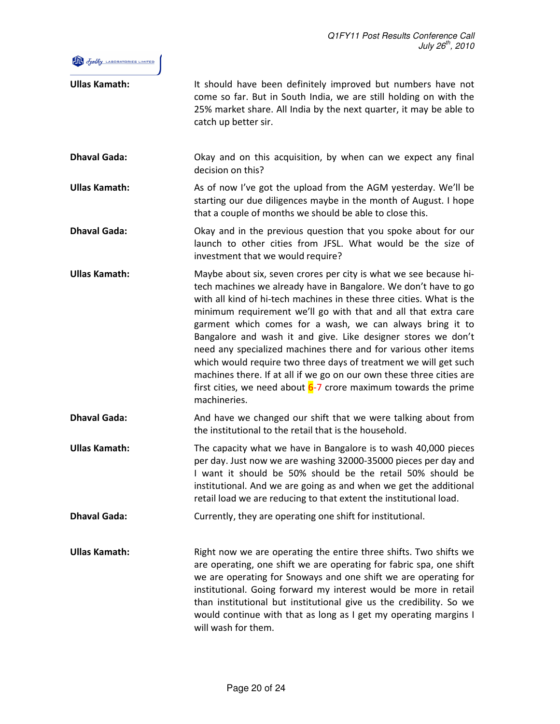

| <b>Ullas Kamath:</b> | It should have been definitely improved but numbers have not<br>come so far. But in South India, we are still holding on with the<br>25% market share. All India by the next quarter, it may be able to<br>catch up better sir.                                                                                                                                                                                                                                                                                                                                                                                                                                                                                  |
|----------------------|------------------------------------------------------------------------------------------------------------------------------------------------------------------------------------------------------------------------------------------------------------------------------------------------------------------------------------------------------------------------------------------------------------------------------------------------------------------------------------------------------------------------------------------------------------------------------------------------------------------------------------------------------------------------------------------------------------------|
| <b>Dhaval Gada:</b>  | Okay and on this acquisition, by when can we expect any final<br>decision on this?                                                                                                                                                                                                                                                                                                                                                                                                                                                                                                                                                                                                                               |
| <b>Ullas Kamath:</b> | As of now I've got the upload from the AGM yesterday. We'll be<br>starting our due diligences maybe in the month of August. I hope<br>that a couple of months we should be able to close this.                                                                                                                                                                                                                                                                                                                                                                                                                                                                                                                   |
| <b>Dhaval Gada:</b>  | Okay and in the previous question that you spoke about for our<br>launch to other cities from JFSL. What would be the size of<br>investment that we would require?                                                                                                                                                                                                                                                                                                                                                                                                                                                                                                                                               |
| <b>Ullas Kamath:</b> | Maybe about six, seven crores per city is what we see because hi-<br>tech machines we already have in Bangalore. We don't have to go<br>with all kind of hi-tech machines in these three cities. What is the<br>minimum requirement we'll go with that and all that extra care<br>garment which comes for a wash, we can always bring it to<br>Bangalore and wash it and give. Like designer stores we don't<br>need any specialized machines there and for various other items<br>which would require two three days of treatment we will get such<br>machines there. If at all if we go on our own these three cities are<br>first cities, we need about $6-7$ crore maximum towards the prime<br>machineries. |
| <b>Dhaval Gada:</b>  | And have we changed our shift that we were talking about from<br>the institutional to the retail that is the household.                                                                                                                                                                                                                                                                                                                                                                                                                                                                                                                                                                                          |
| <b>Ullas Kamath:</b> | The capacity what we have in Bangalore is to wash 40,000 pieces<br>per day. Just now we are washing 32000-35000 pieces per day and<br>I want it should be 50% should be the retail 50% should be<br>institutional. And we are going as and when we get the additional<br>retail load we are reducing to that extent the institutional load.                                                                                                                                                                                                                                                                                                                                                                      |
| <b>Dhaval Gada:</b>  | Currently, they are operating one shift for institutional.                                                                                                                                                                                                                                                                                                                                                                                                                                                                                                                                                                                                                                                       |
| <b>Ullas Kamath:</b> | Right now we are operating the entire three shifts. Two shifts we<br>are operating, one shift we are operating for fabric spa, one shift<br>we are operating for Snoways and one shift we are operating for<br>institutional. Going forward my interest would be more in retail<br>than institutional but institutional give us the credibility. So we<br>would continue with that as long as I get my operating margins I<br>will wash for them.                                                                                                                                                                                                                                                                |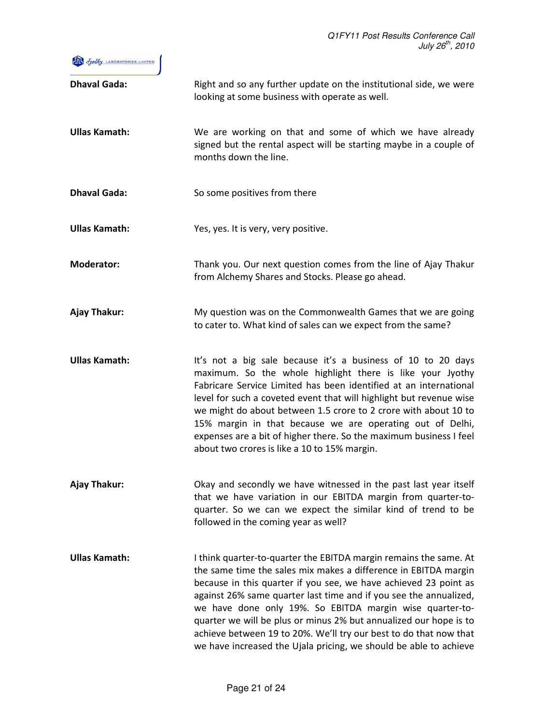

| <b>Dhaval Gada:</b>  | Right and so any further update on the institutional side, we were<br>looking at some business with operate as well.                                                                                                                                                                                                                                                                                                                                                                                                                                     |
|----------------------|----------------------------------------------------------------------------------------------------------------------------------------------------------------------------------------------------------------------------------------------------------------------------------------------------------------------------------------------------------------------------------------------------------------------------------------------------------------------------------------------------------------------------------------------------------|
| <b>Ullas Kamath:</b> | We are working on that and some of which we have already<br>signed but the rental aspect will be starting maybe in a couple of<br>months down the line.                                                                                                                                                                                                                                                                                                                                                                                                  |
| <b>Dhaval Gada:</b>  | So some positives from there                                                                                                                                                                                                                                                                                                                                                                                                                                                                                                                             |
| <b>Ullas Kamath:</b> | Yes, yes. It is very, very positive.                                                                                                                                                                                                                                                                                                                                                                                                                                                                                                                     |
| <b>Moderator:</b>    | Thank you. Our next question comes from the line of Ajay Thakur<br>from Alchemy Shares and Stocks. Please go ahead.                                                                                                                                                                                                                                                                                                                                                                                                                                      |
| Ajay Thakur:         | My question was on the Commonwealth Games that we are going<br>to cater to. What kind of sales can we expect from the same?                                                                                                                                                                                                                                                                                                                                                                                                                              |
| <b>Ullas Kamath:</b> | It's not a big sale because it's a business of 10 to 20 days<br>maximum. So the whole highlight there is like your Jyothy<br>Fabricare Service Limited has been identified at an international<br>level for such a coveted event that will highlight but revenue wise<br>we might do about between 1.5 crore to 2 crore with about 10 to<br>15% margin in that because we are operating out of Delhi,<br>expenses are a bit of higher there. So the maximum business I feel<br>about two crores is like a 10 to 15% margin.                              |
| <b>Ajay Thakur:</b>  | Okay and secondly we have witnessed in the past last year itself<br>that we have variation in our EBITDA margin from quarter-to-<br>quarter. So we can we expect the similar kind of trend to be<br>followed in the coming year as well?                                                                                                                                                                                                                                                                                                                 |
| <b>Ullas Kamath:</b> | I think quarter-to-quarter the EBITDA margin remains the same. At<br>the same time the sales mix makes a difference in EBITDA margin<br>because in this quarter if you see, we have achieved 23 point as<br>against 26% same quarter last time and if you see the annualized,<br>we have done only 19%. So EBITDA margin wise quarter-to-<br>quarter we will be plus or minus 2% but annualized our hope is to<br>achieve between 19 to 20%. We'll try our best to do that now that<br>we have increased the Ujala pricing, we should be able to achieve |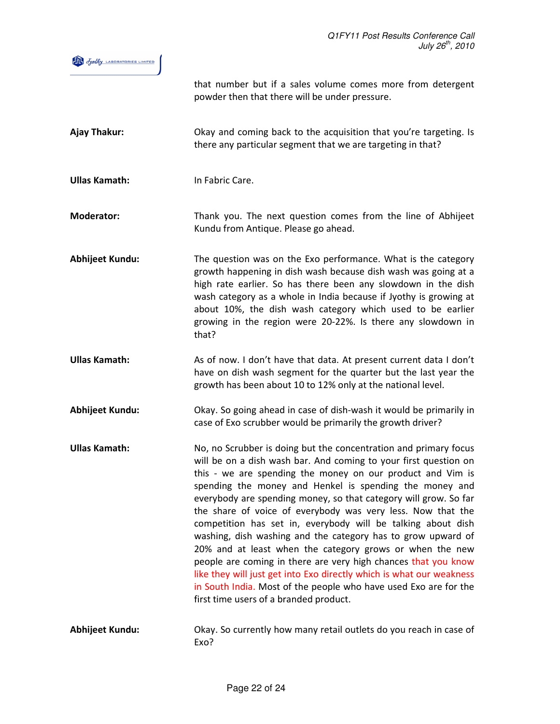|                        | that number but if a sales volume comes more from detergent<br>powder then that there will be under pressure.                                                                                                                                                                                                                                                                                                                                                                                                                                                                                                                                                                                                                                                                                                                                        |
|------------------------|------------------------------------------------------------------------------------------------------------------------------------------------------------------------------------------------------------------------------------------------------------------------------------------------------------------------------------------------------------------------------------------------------------------------------------------------------------------------------------------------------------------------------------------------------------------------------------------------------------------------------------------------------------------------------------------------------------------------------------------------------------------------------------------------------------------------------------------------------|
| Ajay Thakur:           | Okay and coming back to the acquisition that you're targeting. Is<br>there any particular segment that we are targeting in that?                                                                                                                                                                                                                                                                                                                                                                                                                                                                                                                                                                                                                                                                                                                     |
| <b>Ullas Kamath:</b>   | In Fabric Care.                                                                                                                                                                                                                                                                                                                                                                                                                                                                                                                                                                                                                                                                                                                                                                                                                                      |
| <b>Moderator:</b>      | Thank you. The next question comes from the line of Abhijeet<br>Kundu from Antique. Please go ahead.                                                                                                                                                                                                                                                                                                                                                                                                                                                                                                                                                                                                                                                                                                                                                 |
| Abhijeet Kundu:        | The question was on the Exo performance. What is the category<br>growth happening in dish wash because dish wash was going at a<br>high rate earlier. So has there been any slowdown in the dish<br>wash category as a whole in India because if Jyothy is growing at<br>about 10%, the dish wash category which used to be earlier<br>growing in the region were 20-22%. Is there any slowdown in<br>that?                                                                                                                                                                                                                                                                                                                                                                                                                                          |
| <b>Ullas Kamath:</b>   | As of now. I don't have that data. At present current data I don't<br>have on dish wash segment for the quarter but the last year the<br>growth has been about 10 to 12% only at the national level.                                                                                                                                                                                                                                                                                                                                                                                                                                                                                                                                                                                                                                                 |
| Abhijeet Kundu:        | Okay. So going ahead in case of dish-wash it would be primarily in<br>case of Exo scrubber would be primarily the growth driver?                                                                                                                                                                                                                                                                                                                                                                                                                                                                                                                                                                                                                                                                                                                     |
| <b>Ullas Kamath:</b>   | No, no Scrubber is doing but the concentration and primary focus<br>will be on a dish wash bar. And coming to your first question on<br>this - we are spending the money on our product and Vim is<br>spending the money and Henkel is spending the money and<br>everybody are spending money, so that category will grow. So far<br>the share of voice of everybody was very less. Now that the<br>competition has set in, everybody will be talking about dish<br>washing, dish washing and the category has to grow upward of<br>20% and at least when the category grows or when the new<br>people are coming in there are very high chances that you know<br>like they will just get into Exo directly which is what our weakness<br>in South India. Most of the people who have used Exo are for the<br>first time users of a branded product. |
| <b>Abhijeet Kundu:</b> | Okay. So currently how many retail outlets do you reach in case of<br>Exo?                                                                                                                                                                                                                                                                                                                                                                                                                                                                                                                                                                                                                                                                                                                                                                           |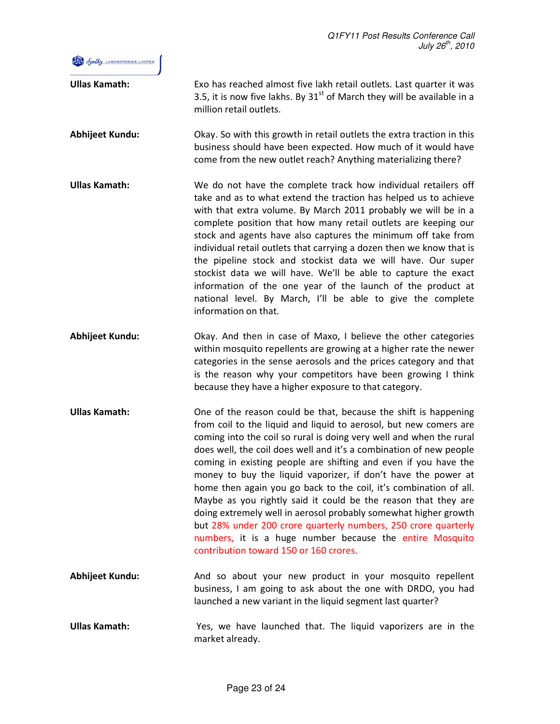

| <b>Ullas Kamath:</b>   | Exo has reached almost five lakh retail outlets. Last quarter it was<br>3.5, it is now five lakhs. By $31st$ of March they will be available in a<br>million retail outlets.                                                                                                                                                                                                                                                                                                                                                                                                                                                                                                                                                                                                                            |
|------------------------|---------------------------------------------------------------------------------------------------------------------------------------------------------------------------------------------------------------------------------------------------------------------------------------------------------------------------------------------------------------------------------------------------------------------------------------------------------------------------------------------------------------------------------------------------------------------------------------------------------------------------------------------------------------------------------------------------------------------------------------------------------------------------------------------------------|
| Abhijeet Kundu:        | Okay. So with this growth in retail outlets the extra traction in this<br>business should have been expected. How much of it would have<br>come from the new outlet reach? Anything materializing there?                                                                                                                                                                                                                                                                                                                                                                                                                                                                                                                                                                                                |
| <b>Ullas Kamath:</b>   | We do not have the complete track how individual retailers off<br>take and as to what extend the traction has helped us to achieve<br>with that extra volume. By March 2011 probably we will be in a<br>complete position that how many retail outlets are keeping our<br>stock and agents have also captures the minimum off take from<br>individual retail outlets that carrying a dozen then we know that is<br>the pipeline stock and stockist data we will have. Our super<br>stockist data we will have. We'll be able to capture the exact<br>information of the one year of the launch of the product at<br>national level. By March, I'll be able to give the complete<br>information on that.                                                                                                 |
| Abhijeet Kundu:        | Okay. And then in case of Maxo, I believe the other categories<br>within mosquito repellents are growing at a higher rate the newer<br>categories in the sense aerosols and the prices category and that<br>is the reason why your competitors have been growing I think<br>because they have a higher exposure to that category.                                                                                                                                                                                                                                                                                                                                                                                                                                                                       |
| <b>Ullas Kamath:</b>   | One of the reason could be that, because the shift is happening<br>from coil to the liquid and liquid to aerosol, but new comers are<br>coming into the coil so rural is doing very well and when the rural<br>does well, the coil does well and it's a combination of new people<br>coming in existing people are shifting and even if you have the<br>money to buy the liquid vaporizer, if don't have the power at<br>home then again you go back to the coil, it's combination of all.<br>Maybe as you rightly said it could be the reason that they are<br>doing extremely well in aerosol probably somewhat higher growth<br>but 28% under 200 crore quarterly numbers, 250 crore quarterly<br>numbers, it is a huge number because the entire Mosquito<br>contribution toward 150 or 160 crores. |
| <b>Abhijeet Kundu:</b> | And so about your new product in your mosquito repellent<br>business, I am going to ask about the one with DRDO, you had<br>launched a new variant in the liquid segment last quarter?                                                                                                                                                                                                                                                                                                                                                                                                                                                                                                                                                                                                                  |
| <b>Ullas Kamath:</b>   | Yes, we have launched that. The liquid vaporizers are in the<br>market already.                                                                                                                                                                                                                                                                                                                                                                                                                                                                                                                                                                                                                                                                                                                         |